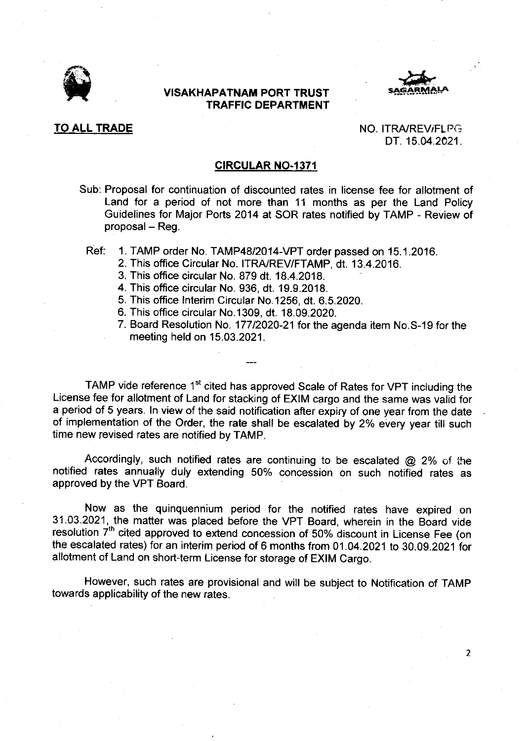

## VISAKHAPATNAM PORT TRUST TRAFFIC DEPARTMENT



TO ALL TRADE NO. ITRA/REV/FLPG DT. 15.04.2021.

 $\overline{2}$ 

## **CIRCULAR NO-1371**

- Sub: Proposal for continuation of discounted rates in license fee for allotment of Land for a period of not more than 11 months as per the Land Policy Guidelines for Major Ports 2014 at SOR rates notified by TAMP - Review of  $proposal - Reg.$ 
	- Ref: 1. TAMP order No. TAMP48|2014-VPT order passed on 15.1.2016.
		- 2. This office Circular No. ITRA/REV/FTAMP, dt. 13.4.2016.
		- 3. This office circular No. 879 dt. 18.4.2018.
		- 4. This ofiice circular No. 936, dt. 19.9.2018.
		- 5. This office Interim Circular No.1256, dt. 6.5.2020.
		- 6. This office circular No.1309, dt. 18.09.2020.
		- 7. Board Resolution No. 17712020-21 for the agenda item No.S-19 for the meeting held on 15.03.2021.

TAMP vide reference 1<sup>st</sup> cited has approved Scale of Rates for VPT including the License fee for allotment of Land for stacking of EXIM cargo and the same was valid for a period of 5 years. In view of the said notification after expiry of one year from the date of implementation of the Order, the rate shall be escalated by 2% every year till such time new revised rates are notified by TAMP.

Accordingly, such notified rates are continuing to be escalated  $@$  2% of the notified rates annually duly extending 50% concession on such notified rates as approved by the VPT Board.

Now as the quinquennium period for the notified rates have expired on 31.03.2021, the matter was placed before the VPT Board, wherein in the Board vide resolution 7<sup>th</sup> cited approved to extend concession of 50% discount in License Fee (on the escalated rates) for an interim period of 6 months trom 01 .04.2021 to 30.09.2021 for allotment of Land on short-term License for storage of EXIM Cargo.

However, such rates are provisional and will be subiect to Notification of TAMp towards applicability of the new rates.